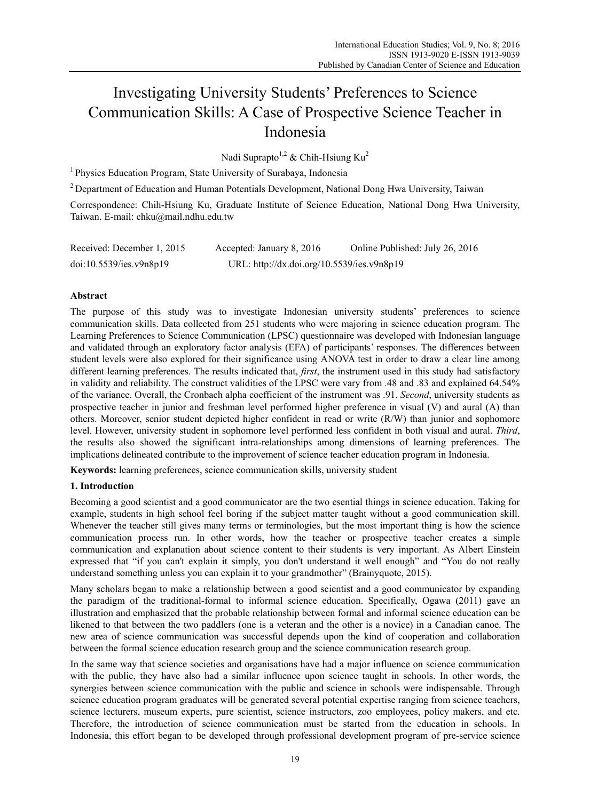# Investigating University Students' Preferences to Science Communication Skills: A Case of Prospective Science Teacher in Indonesia

Nadi Suprapto<sup>1,2</sup> & Chih-Hsiung Ku<sup>2</sup>

<sup>1</sup> Physics Education Program, State University of Surabaya, Indonesia

2 Department of Education and Human Potentials Development, National Dong Hwa University, Taiwan

Correspondence: Chih-Hsiung Ku, Graduate Institute of Science Education, National Dong Hwa University, Taiwan. E-mail: chku@mail.ndhu.edu.tw

| Received: December 1, 2015 | Accepted: January 8, 2016                  | Online Published: July 26, 2016 |
|----------------------------|--------------------------------------------|---------------------------------|
| doi:10.5539/ies.v9n8p19    | URL: http://dx.doi.org/10.5539/ies.v9n8p19 |                                 |

# **Abstract**

The purpose of this study was to investigate Indonesian university students' preferences to science communication skills. Data collected from 251 students who were majoring in science education program. The Learning Preferences to Science Communication (LPSC) questionnaire was developed with Indonesian language and validated through an exploratory factor analysis (EFA) of participants' responses. The differences between student levels were also explored for their significance using ANOVA test in order to draw a clear line among different learning preferences. The results indicated that, *first*, the instrument used in this study had satisfactory in validity and reliability. The construct validities of the LPSC were vary from .48 and .83 and explained 64.54% of the variance. Overall, the Cronbach alpha coefficient of the instrument was .91. *Second*, university students as prospective teacher in junior and freshman level performed higher preference in visual (V) and aural (A) than others. Moreover, senior student depicted higher confident in read or write (R/W) than junior and sophomore level. However, university student in sophomore level performed less confident in both visual and aural. *Third*, the results also showed the significant intra-relationships among dimensions of learning preferences. The implications delineated contribute to the improvement of science teacher education program in Indonesia.

**Keywords:** learning preferences, science communication skills, university student

## **1. Introduction**

Becoming a good scientist and a good communicator are the two esential things in science education. Taking for example, students in high school feel boring if the subject matter taught without a good communication skill. Whenever the teacher still gives many terms or terminologies, but the most important thing is how the science communication process run. In other words, how the teacher or prospective teacher creates a simple communication and explanation about science content to their students is very important. As Albert Einstein expressed that "if you can't explain it simply, you don't understand it well enough" and "You do not really understand something unless you can explain it to your grandmother" (Brainyquote, 2015).

Many scholars began to make a relationship between a good scientist and a good communicator by expanding the paradigm of the traditional-formal to informal science education. Specifically, Ogawa (2011) gave an illustration and emphasized that the probable relationship between formal and informal science education can be likened to that between the two paddlers (one is a veteran and the other is a novice) in a Canadian canoe. The new area of science communication was successful depends upon the kind of cooperation and collaboration between the formal science education research group and the science communication research group.

In the same way that science societies and organisations have had a major influence on science communication with the public, they have also had a similar influence upon science taught in schools. In other words, the synergies between science communication with the public and science in schools were indispensable. Through science education program graduates will be generated several potential expertise ranging from science teachers, science lecturers, museum experts, pure scientist, science instructors, zoo employees, policy makers, and etc. Therefore, the introduction of science communication must be started from the education in schools. In Indonesia, this effort began to be developed through professional development program of pre-service science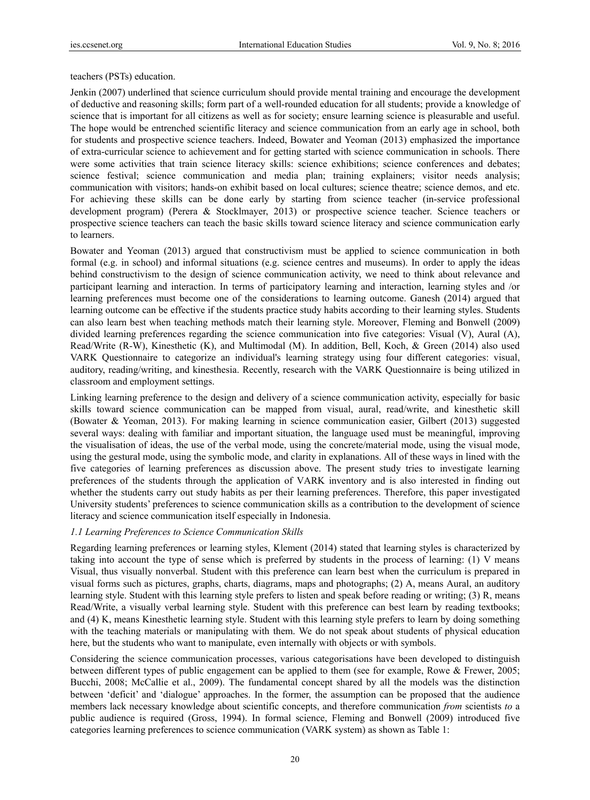teachers (PSTs) education.

Jenkin (2007) underlined that science curriculum should provide mental training and encourage the development of deductive and reasoning skills; form part of a well-rounded education for all students; provide a knowledge of science that is important for all citizens as well as for society; ensure learning science is pleasurable and useful. The hope would be entrenched scientific literacy and science communication from an early age in school, both for students and prospective science teachers. Indeed, Bowater and Yeoman (2013) emphasized the importance of extra-curricular science to achievement and for getting started with science communication in schools. There were some activities that train science literacy skills: science exhibitions; science conferences and debates; science festival; science communication and media plan; training explainers; visitor needs analysis; communication with visitors; hands-on exhibit based on local cultures; science theatre; science demos, and etc. For achieving these skills can be done early by starting from science teacher (in-service professional development program) (Perera & Stocklmayer, 2013) or prospective science teacher. Science teachers or prospective science teachers can teach the basic skills toward science literacy and science communication early to learners.

Bowater and Yeoman (2013) argued that constructivism must be applied to science communication in both formal (e.g. in school) and informal situations (e.g. science centres and museums). In order to apply the ideas behind constructivism to the design of science communication activity, we need to think about relevance and participant learning and interaction. In terms of participatory learning and interaction, learning styles and /or learning preferences must become one of the considerations to learning outcome. Ganesh (2014) argued that learning outcome can be effective if the students practice study habits according to their learning styles. Students can also learn best when teaching methods match their learning style. Moreover, Fleming and Bonwell (2009) divided learning preferences regarding the science communication into five categories: Visual (V), Aural (A), Read/Write (R-W), Kinesthetic (K), and Multimodal (M). In addition, Bell, Koch, & Green (2014) also used VARK Questionnaire to categorize an individual's learning strategy using four different categories: visual, auditory, reading/writing, and kinesthesia. Recently, research with the VARK Questionnaire is being utilized in classroom and employment settings.

Linking learning preference to the design and delivery of a science communication activity, especially for basic skills toward science communication can be mapped from visual, aural, read/write, and kinesthetic skill (Bowater & Yeoman, 2013). For making learning in science communication easier, Gilbert (2013) suggested several ways: dealing with familiar and important situation, the language used must be meaningful, improving the visualisation of ideas, the use of the verbal mode, using the concrete/material mode, using the visual mode, using the gestural mode, using the symbolic mode, and clarity in explanations. All of these ways in lined with the five categories of learning preferences as discussion above. The present study tries to investigate learning preferences of the students through the application of VARK inventory and is also interested in finding out whether the students carry out study habits as per their learning preferences. Therefore, this paper investigated University students' preferences to science communication skills as a contribution to the development of science literacy and science communication itself especially in Indonesia.

## *1.1 Learning Preferences to Science Communication Skills*

Regarding learning preferences or learning styles, Klement (2014) stated that learning styles is characterized by taking into account the type of sense which is preferred by students in the process of learning: (1) V means Visual, thus visually nonverbal. Student with this preference can learn best when the curriculum is prepared in visual forms such as pictures, graphs, charts, diagrams, maps and photographs; (2) A, means Aural, an auditory learning style. Student with this learning style prefers to listen and speak before reading or writing; (3) R, means Read/Write, a visually verbal learning style. Student with this preference can best learn by reading textbooks; and (4) K, means Kinesthetic learning style. Student with this learning style prefers to learn by doing something with the teaching materials or manipulating with them. We do not speak about students of physical education here, but the students who want to manipulate, even internally with objects or with symbols.

Considering the science communication processes, various categorisations have been developed to distinguish between different types of public engagement can be applied to them (see for example, Rowe & Frewer, 2005; Bucchi, 2008; McCallie et al., 2009). The fundamental concept shared by all the models was the distinction between 'deficit' and 'dialogue' approaches. In the former, the assumption can be proposed that the audience members lack necessary knowledge about scientific concepts, and therefore communication *from* scientists *to* a public audience is required (Gross, 1994). In formal science, Fleming and Bonwell (2009) introduced five categories learning preferences to science communication (VARK system) as shown as Table 1: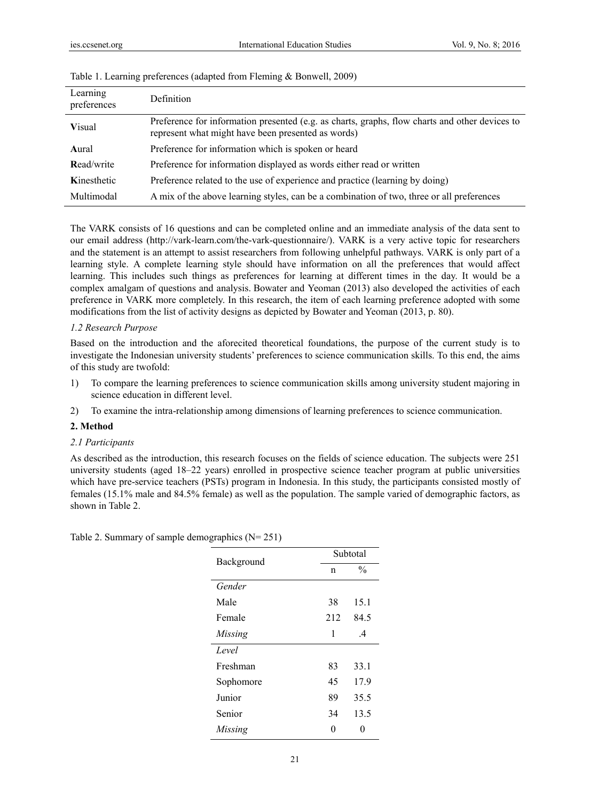| Learning<br>preferences | Definition                                                                                                                                           |
|-------------------------|------------------------------------------------------------------------------------------------------------------------------------------------------|
| <b>Visual</b>           | Preference for information presented (e.g. as charts, graphs, flow charts and other devices to<br>represent what might have been presented as words) |
| Aural                   | Preference for information which is spoken or heard                                                                                                  |
| Read/write              | Preference for information displayed as words either read or written                                                                                 |
| Kinesthetic             | Preference related to the use of experience and practice (learning by doing)                                                                         |
| Multimodal              | A mix of the above learning styles, can be a combination of two, three or all preferences                                                            |

| Table 1. Learning preferences (adapted from Fleming & Bonwell, 2009) |  |  |  |
|----------------------------------------------------------------------|--|--|--|
|                                                                      |  |  |  |

The VARK consists of 16 questions and can be completed online and an immediate analysis of the data sent to our email address (http://vark-learn.com/the-vark-questionnaire/). VARK is a very active topic for researchers and the statement is an attempt to assist researchers from following unhelpful pathways. VARK is only part of a learning style. A complete learning style should have information on all the preferences that would affect learning. This includes such things as preferences for learning at different times in the day. It would be a complex amalgam of questions and analysis. Bowater and Yeoman (2013) also developed the activities of each preference in VARK more completely. In this research, the item of each learning preference adopted with some modifications from the list of activity designs as depicted by Bowater and Yeoman (2013, p. 80).

## *1.2 Research Purpose*

Based on the introduction and the aforecited theoretical foundations, the purpose of the current study is to investigate the Indonesian university students' preferences to science communication skills. To this end, the aims of this study are twofold:

- 1) To compare the learning preferences to science communication skills among university student majoring in science education in different level.
- 2) To examine the intra-relationship among dimensions of learning preferences to science communication.

#### **2. Method**

#### *2.1 Participants*

As described as the introduction, this research focuses on the fields of science education. The subjects were 251 university students (aged 18–22 years) enrolled in prospective science teacher program at public universities which have pre-service teachers (PSTs) program in Indonesia. In this study, the participants consisted mostly of females (15.1% male and 84.5% female) as well as the population. The sample varied of demographic factors, as shown in Table 2.

| Background |     | Subtotal      |  |  |  |
|------------|-----|---------------|--|--|--|
|            | n   | $\frac{0}{0}$ |  |  |  |
| Gender     |     |               |  |  |  |
| Male       | 38  | 15.1          |  |  |  |
| Female     | 212 | 84.5          |  |  |  |
| Missing    | 1   | $\mathcal{A}$ |  |  |  |
| Level      |     |               |  |  |  |
| Freshman   | 83  | 33.1          |  |  |  |
| Sophomore  | 45  | 17.9          |  |  |  |
| Junior     | 89  | 35.5          |  |  |  |
| Senior     | 34  | 13.5          |  |  |  |
| Missing    |     |               |  |  |  |

| Table 2. Summary of sample demographics $(N = 251)$ |  |  |
|-----------------------------------------------------|--|--|
|                                                     |  |  |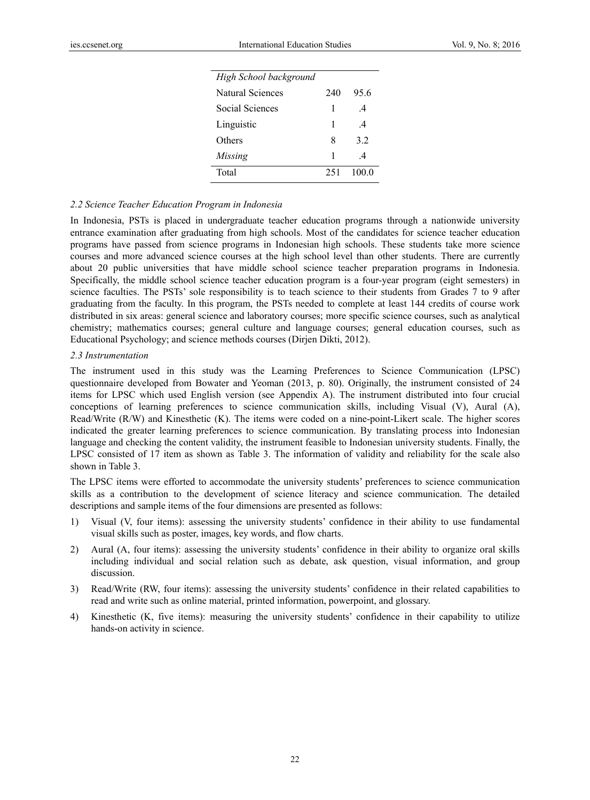| High School background |     |                |
|------------------------|-----|----------------|
| Natural Sciences       | 240 | 95.6           |
| Social Sciences        | 1   | $\overline{4}$ |
| Linguistic             | 1   | $\overline{4}$ |
| Others                 | 8   | 32             |
| Missing                | 1   | $\overline{4}$ |
| Total                  | 251 | 1000           |

#### *2.2 Science Teacher Education Program in Indonesia*

In Indonesia, PSTs is placed in undergraduate teacher education programs through a nationwide university entrance examination after graduating from high schools. Most of the candidates for science teacher education programs have passed from science programs in Indonesian high schools. These students take more science courses and more advanced science courses at the high school level than other students. There are currently about 20 public universities that have middle school science teacher preparation programs in Indonesia. Specifically, the middle school science teacher education program is a four-year program (eight semesters) in science faculties. The PSTs' sole responsibility is to teach science to their students from Grades 7 to 9 after graduating from the faculty. In this program, the PSTs needed to complete at least 144 credits of course work distributed in six areas: general science and laboratory courses; more specific science courses, such as analytical chemistry; mathematics courses; general culture and language courses; general education courses, such as Educational Psychology; and science methods courses (Dirjen Dikti, 2012).

#### *2.3 Instrumentation*

The instrument used in this study was the Learning Preferences to Science Communication (LPSC) questionnaire developed from Bowater and Yeoman (2013, p. 80). Originally, the instrument consisted of 24 items for LPSC which used English version (see Appendix A). The instrument distributed into four crucial conceptions of learning preferences to science communication skills, including Visual (V), Aural (A), Read/Write (R/W) and Kinesthetic (K). The items were coded on a nine-point-Likert scale. The higher scores indicated the greater learning preferences to science communication. By translating process into Indonesian language and checking the content validity, the instrument feasible to Indonesian university students. Finally, the LPSC consisted of 17 item as shown as Table 3. The information of validity and reliability for the scale also shown in Table 3.

The LPSC items were efforted to accommodate the university students' preferences to science communication skills as a contribution to the development of science literacy and science communication. The detailed descriptions and sample items of the four dimensions are presented as follows:

- 1) Visual (V, four items): assessing the university students' confidence in their ability to use fundamental visual skills such as poster, images, key words, and flow charts.
- 2) Aural (A, four items): assessing the university students' confidence in their ability to organize oral skills including individual and social relation such as debate, ask question, visual information, and group discussion.
- 3) Read/Write (RW, four items): assessing the university students' confidence in their related capabilities to read and write such as online material, printed information, powerpoint, and glossary.
- 4) Kinesthetic (K, five items): measuring the university students' confidence in their capability to utilize hands-on activity in science.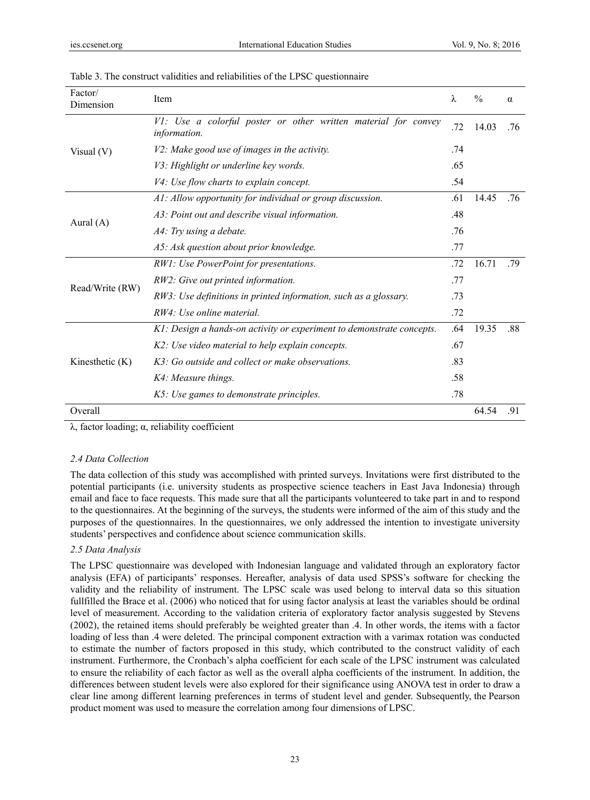| Factor/<br>Dimension | Item                                                                           | λ   | $\frac{0}{0}$ | $\alpha$ |
|----------------------|--------------------------------------------------------------------------------|-----|---------------|----------|
| Visual $(V)$         | V1: Use a colorful poster or other written material for convey<br>information. | .72 | 14.03         | .76      |
|                      | V2: Make good use of images in the activity.                                   | .74 |               |          |
|                      | V3: Highlight or underline key words.                                          | .65 |               |          |
|                      | V4: Use flow charts to explain concept.                                        | .54 |               |          |
|                      | A1: Allow opportunity for individual or group discussion.                      | .61 | 14.45         | .76      |
|                      | A3: Point out and describe visual information.                                 | .48 |               |          |
| Aural $(A)$          | A4: Try using a debate.                                                        | .76 |               |          |
|                      | A5: Ask question about prior knowledge.                                        | .77 |               |          |
|                      | RW1: Use PowerPoint for presentations.                                         | .72 | 16.71         | .79      |
|                      | RW2: Give out printed information.                                             | .77 |               |          |
| Read/Write (RW)      | RW3: Use definitions in printed information, such as a glossary.               | .73 |               |          |
|                      | RW4: Use online material.                                                      | .72 |               |          |
|                      | K1: Design a hands-on activity or experiment to demonstrate concepts.          | .64 | 19.35         | .88      |
| Kinesthetic $(K)$    | K2: Use video material to help explain concepts.                               | .67 |               |          |
|                      | K3: Go outside and collect or make observations.                               | .83 |               |          |
|                      | K4: Measure things.                                                            | .58 |               |          |
|                      | K5: Use games to demonstrate principles.                                       | .78 |               |          |
| Overall              |                                                                                |     | 64.54         | .91      |

| Table 3. The construct validities and reliabilities of the LPSC questionnaire |  |  |  |  |  |  |
|-------------------------------------------------------------------------------|--|--|--|--|--|--|
|-------------------------------------------------------------------------------|--|--|--|--|--|--|

λ, factor loading; α, reliability coefficient

#### *2.4 Data Collection*

The data collection of this study was accomplished with printed surveys. Invitations were first distributed to the potential participants (i.e. university students as prospective science teachers in East Java Indonesia) through email and face to face requests. This made sure that all the participants volunteered to take part in and to respond to the questionnaires. At the beginning of the surveys, the students were informed of the aim of this study and the purposes of the questionnaires. In the questionnaires, we only addressed the intention to investigate university students' perspectives and confidence about science communication skills.

# *2.5 Data Analysis*

The LPSC questionnaire was developed with Indonesian language and validated through an exploratory factor analysis (EFA) of participants' responses. Hereafter, analysis of data used SPSS's software for checking the validity and the reliability of instrument. The LPSC scale was used belong to interval data so this situation fullfilled the Brace et al. (2006) who noticed that for using factor analysis at least the variables should be ordinal level of measurement. According to the validation criteria of exploratory factor analysis suggested by Stevens (2002), the retained items should preferably be weighted greater than .4. In other words, the items with a factor loading of less than .4 were deleted. The principal component extraction with a varimax rotation was conducted to estimate the number of factors proposed in this study, which contributed to the construct validity of each instrument. Furthermore, the Cronbach's alpha coefficient for each scale of the LPSC instrument was calculated to ensure the reliability of each factor as well as the overall alpha coefficients of the instrument. In addition, the differences between student levels were also explored for their significance using ANOVA test in order to draw a clear line among different learning preferences in terms of student level and gender. Subsequently, the Pearson product moment was used to measure the correlation among four dimensions of LPSC.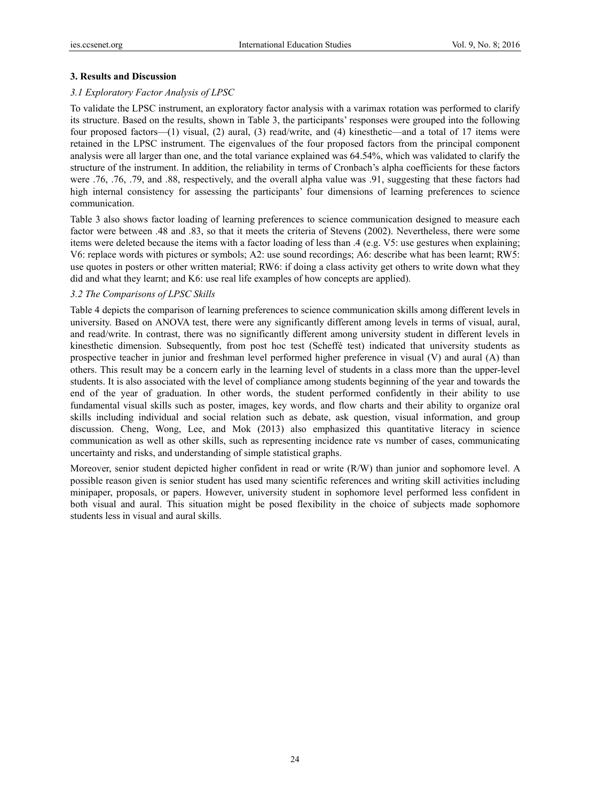## **3. Results and Discussion**

## *3.1 Exploratory Factor Analysis of LPSC*

To validate the LPSC instrument, an exploratory factor analysis with a varimax rotation was performed to clarify its structure. Based on the results, shown in Table 3, the participants' responses were grouped into the following four proposed factors—(1) visual, (2) aural, (3) read/write, and (4) kinesthetic—and a total of 17 items were retained in the LPSC instrument. The eigenvalues of the four proposed factors from the principal component analysis were all larger than one, and the total variance explained was 64.54%, which was validated to clarify the structure of the instrument. In addition, the reliability in terms of Cronbach's alpha coefficients for these factors were .76, .76, .79, and .88, respectively, and the overall alpha value was .91, suggesting that these factors had high internal consistency for assessing the participants' four dimensions of learning preferences to science communication.

Table 3 also shows factor loading of learning preferences to science communication designed to measure each factor were between .48 and .83, so that it meets the criteria of Stevens (2002). Nevertheless, there were some items were deleted because the items with a factor loading of less than .4 (e.g. V5: use gestures when explaining; V6: replace words with pictures or symbols; A2: use sound recordings; A6: describe what has been learnt; RW5: use quotes in posters or other written material; RW6: if doing a class activity get others to write down what they did and what they learnt; and K6: use real life examples of how concepts are applied).

## *3.2 The Comparisons of LPSC Skills*

Table 4 depicts the comparison of learning preferences to science communication skills among different levels in university. Based on ANOVA test, there were any significantly different among levels in terms of visual, aural, and read/write. In contrast, there was no significantly different among university student in different levels in kinesthetic dimension. Subsequently, from post hoc test (Scheffé test) indicated that university students as prospective teacher in junior and freshman level performed higher preference in visual (V) and aural (A) than others. This result may be a concern early in the learning level of students in a class more than the upper-level students. It is also associated with the level of compliance among students beginning of the year and towards the end of the year of graduation. In other words, the student performed confidently in their ability to use fundamental visual skills such as poster, images, key words, and flow charts and their ability to organize oral skills including individual and social relation such as debate, ask question, visual information, and group discussion. Cheng, Wong, Lee, and Mok (2013) also emphasized this quantitative literacy in science communication as well as other skills, such as representing incidence rate vs number of cases, communicating uncertainty and risks, and understanding of simple statistical graphs.

Moreover, senior student depicted higher confident in read or write (R/W) than junior and sophomore level. A possible reason given is senior student has used many scientific references and writing skill activities including minipaper, proposals, or papers. However, university student in sophomore level performed less confident in both visual and aural. This situation might be posed flexibility in the choice of subjects made sophomore students less in visual and aural skills.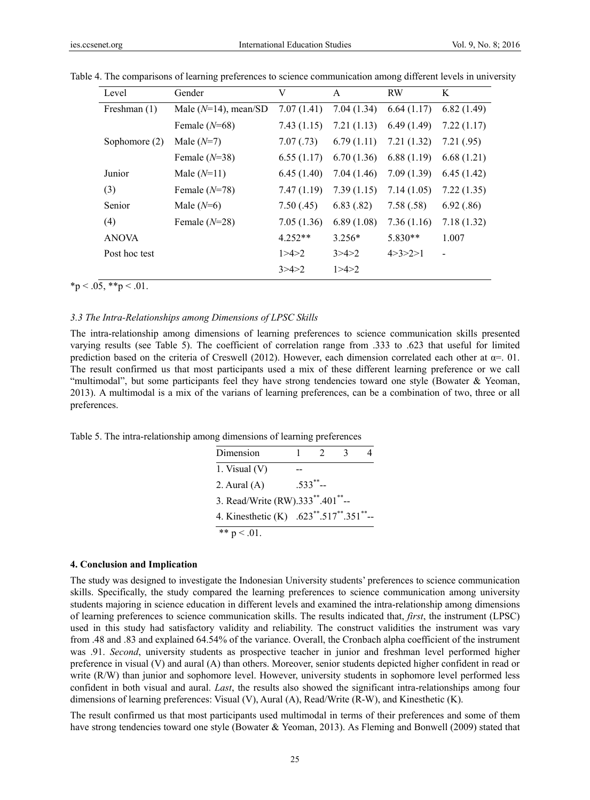| Level         | Gender                  | V          | A          | <b>RW</b>     | K          |
|---------------|-------------------------|------------|------------|---------------|------------|
| Freshman (1)  | Male $(N=14)$ , mean/SD | 7.07(1.41) | 7.04(1.34) | 6.64(1.17)    | 6.82(1.49) |
|               | Female $(N=68)$         | 7.43(1.15) | 7.21(1.13) | 6.49(1.49)    | 7.22(1.17) |
| Sophomore (2) | Male $(N=7)$            | 7.07(0.73) | 6.79(1.11) | 7.21(1.32)    | 7.21(.95)  |
|               | Female $(N=38)$         | 6.55(1.17) | 6.70(1.36) | 6.88(1.19)    | 6.68(1.21) |
| Junior        | Male $(N=11)$           | 6.45(1.40) | 7.04(1.46) | 7.09(1.39)    | 6.45(1.42) |
| (3)           | Female $(N=78)$         | 7.47(1.19) | 7.39(1.15) | 7.14(1.05)    | 7.22(1.35) |
| Senior        | Male $(N=6)$            | 7.50(.45)  | 6.83(.82)  | 7.58(.58)     | 6.92(.86)  |
| (4)           | Female $(N=28)$         | 7.05(1.36) | 6.89(1.08) | 7.36(1.16)    | 7.18(1.32) |
| <b>ANOVA</b>  |                         | $4.252**$  | $3.256*$   | $5.830**$     | 1.007      |
| Post hoc test |                         | 1 > 4 > 2  | 3 > 4 > 2  | 4 > 3 > 2 > 1 |            |
|               |                         | 3 > 4 > 2  | 1 > 4 > 2  |               |            |

Table 4. The comparisons of learning preferences to science communication among different levels in university

 $*<sub>p</sub> < .05, **<sub>p</sub> < .01.$ 

#### *3.3 The Intra-Relationships among Dimensions of LPSC Skills*

The intra-relationship among dimensions of learning preferences to science communication skills presented varying results (see Table 5). The coefficient of correlation range from .333 to .623 that useful for limited prediction based on the criteria of Creswell (2012). However, each dimension correlated each other at  $\alpha$ =. 01. The result confirmed us that most participants used a mix of these different learning preference or we call "multimodal", but some participants feel they have strong tendencies toward one style (Bowater & Yeoman, 2013). A multimodal is a mix of the varians of learning preferences, can be a combination of two, three or all preferences.

Table 5. The intra-relationship among dimensions of learning preferences

| Dimension                               |                |  |
|-----------------------------------------|----------------|--|
| 1. Visual $(V)$                         |                |  |
| 2. Aural $(A)$                          | $.533^{**}$ -- |  |
| 3. Read/Write (RW).333**.401**--        |                |  |
| 4. Kinesthetic (K) .623**.517**.351**-- |                |  |
| ** $p < .01$ .                          |                |  |

#### **4. Conclusion and Implication**

The study was designed to investigate the Indonesian University students' preferences to science communication skills. Specifically, the study compared the learning preferences to science communication among university students majoring in science education in different levels and examined the intra-relationship among dimensions of learning preferences to science communication skills. The results indicated that, *first*, the instrument (LPSC) used in this study had satisfactory validity and reliability. The construct validities the instrument was vary from .48 and .83 and explained 64.54% of the variance. Overall, the Cronbach alpha coefficient of the instrument was .91. *Second*, university students as prospective teacher in junior and freshman level performed higher preference in visual (V) and aural (A) than others. Moreover, senior students depicted higher confident in read or write (R/W) than junior and sophomore level. However, university students in sophomore level performed less confident in both visual and aural. *Last*, the results also showed the significant intra-relationships among four dimensions of learning preferences: Visual (V), Aural (A), Read/Write (R-W), and Kinesthetic (K).

The result confirmed us that most participants used multimodal in terms of their preferences and some of them have strong tendencies toward one style (Bowater & Yeoman, 2013). As Fleming and Bonwell (2009) stated that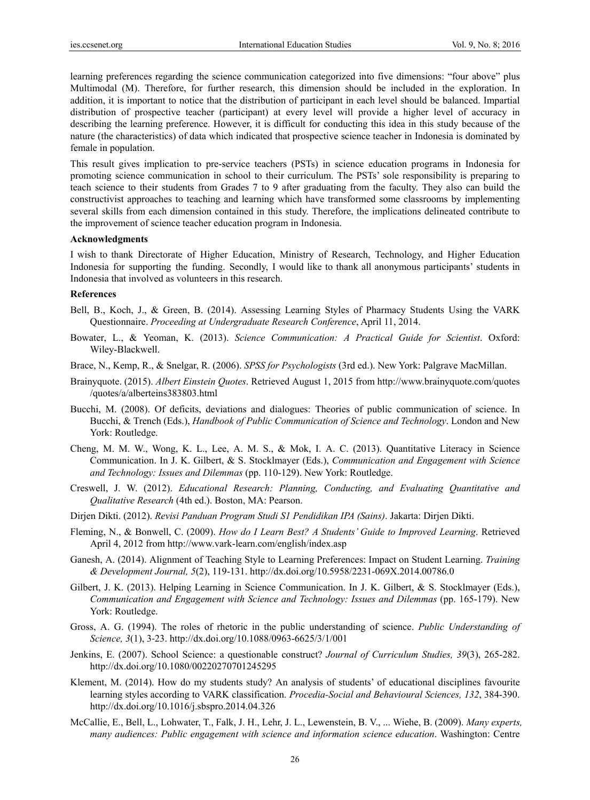learning preferences regarding the science communication categorized into five dimensions: "four above" plus Multimodal (M). Therefore, for further research, this dimension should be included in the exploration. In addition, it is important to notice that the distribution of participant in each level should be balanced. Impartial distribution of prospective teacher (participant) at every level will provide a higher level of accuracy in describing the learning preference. However, it is difficult for conducting this idea in this study because of the nature (the characteristics) of data which indicated that prospective science teacher in Indonesia is dominated by female in population.

This result gives implication to pre-service teachers (PSTs) in science education programs in Indonesia for promoting science communication in school to their curriculum. The PSTs' sole responsibility is preparing to teach science to their students from Grades 7 to 9 after graduating from the faculty. They also can build the constructivist approaches to teaching and learning which have transformed some classrooms by implementing several skills from each dimension contained in this study. Therefore, the implications delineated contribute to the improvement of science teacher education program in Indonesia.

#### **Acknowledgments**

I wish to thank Directorate of Higher Education, Ministry of Research, Technology, and Higher Education Indonesia for supporting the funding. Secondly, I would like to thank all anonymous participants' students in Indonesia that involved as volunteers in this research.

#### **References**

- Bell, B., Koch, J., & Green, B. (2014). Assessing Learning Styles of Pharmacy Students Using the VARK Questionnaire. *Proceeding at Undergraduate Research Conference*, April 11, 2014.
- Bowater, L., & Yeoman, K. (2013). *Science Communication: A Practical Guide for Scientist*. Oxford: Wiley-Blackwell.
- Brace, N., Kemp, R., & Snelgar, R. (2006). *SPSS for Psychologists* (3rd ed.). New York: Palgrave MacMillan.
- Brainyquote. (2015). *Albert Einstein Quotes*. Retrieved August 1, 2015 from http://www.brainyquote.com/quotes /quotes/a/alberteins383803.html
- Bucchi, M. (2008). Of deficits, deviations and dialogues: Theories of public communication of science. In Bucchi, & Trench (Eds.), *Handbook of Public Communication of Science and Technology*. London and New York: Routledge.
- Cheng, M. M. W., Wong, K. L., Lee, A. M. S., & Mok, I. A. C. (2013). Quantitative Literacy in Science Communication. In J. K. Gilbert, & S. Stocklmayer (Eds.), *Communication and Engagement with Science and Technology: Issues and Dilemmas* (pp. 110-129). New York: Routledge.
- Creswell, J. W. (2012). *Educational Research: Planning, Conducting, and Evaluating Quantitative and Qualitative Research* (4th ed.). Boston, MA: Pearson.
- Dirjen Dikti. (2012). *Revisi Panduan Program Studi S1 Pendidikan IPA (Sains)*. Jakarta: Dirjen Dikti.
- Fleming, N., & Bonwell, C. (2009). *How do I Learn Best? A Students' Guide to Improved Learning*. Retrieved April 4, 2012 from http://www.vark-learn.com/english/index.asp
- Ganesh, A. (2014). Alignment of Teaching Style to Learning Preferences: Impact on Student Learning. *Training & Development Journal, 5*(2), 119-131. http://dx.doi.org/10.5958/2231-069X.2014.00786.0
- Gilbert, J. K. (2013). Helping Learning in Science Communication. In J. K. Gilbert, & S. Stocklmayer (Eds.), *Communication and Engagement with Science and Technology: Issues and Dilemmas* (pp. 165-179). New York: Routledge.
- Gross, A. G. (1994). The roles of rhetoric in the public understanding of science. *Public Understanding of Science, 3*(1), 3‐23. http://dx.doi.org/10.1088/0963-6625/3/1/001
- Jenkins, E. (2007). School Science: a questionable construct? *Journal of Curriculum Studies, 39*(3), 265-282. http://dx.doi.org/10.1080/00220270701245295
- Klement, M. (2014). How do my students study? An analysis of students' of educational disciplines favourite learning styles according to VARK classification. *Procedia-Social and Behavioural Sciences, 132*, 384-390. http://dx.doi.org/10.1016/j.sbspro.2014.04.326
- McCallie, E., Bell, L., Lohwater, T., Falk, J. H., Lehr, J. L., Lewenstein, B. V., ... Wiehe, B. (2009). *Many experts, many audiences: Public engagement with science and information science education*. Washington: Centre